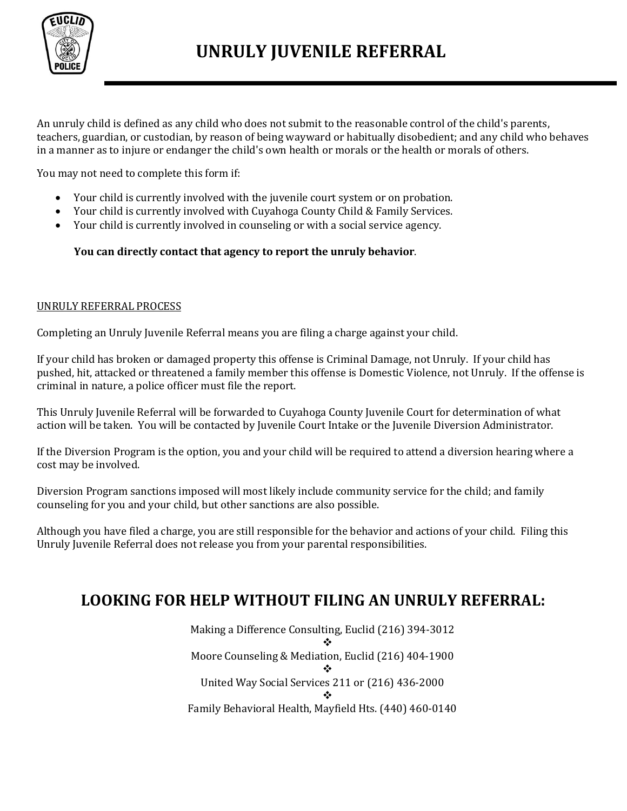

# **UNRULY JUVENILE REFERRAL**

An unruly child is defined as any child who does not submit to the reasonable control of the child's parents, teachers, guardian, or custodian, by reason of being wayward or habitually disobedient; and any child who behaves in a manner as to injure or endanger the child's own health or morals or the health or morals of others.

You may not need to complete this form if:

- Your child is currently involved with the juvenile court system or on probation.
- Your child is currently involved with Cuyahoga County Child & Family Services.
- Your child is currently involved in counseling or with a social service agency.

### **You can directly contact that agency to report the unruly behavior**.

#### UNRULY REFERRAL PROCESS

Completing an Unruly Juvenile Referral means you are filing a charge against your child.

If your child has broken or damaged property this offense is Criminal Damage, not Unruly. If your child has pushed, hit, attacked or threatened a family member this offense is Domestic Violence, not Unruly. If the offense is criminal in nature, a police officer must file the report.

This Unruly Juvenile Referral will be forwarded to Cuyahoga County Juvenile Court for determination of what action will be taken. You will be contacted by Juvenile Court Intake or the Juvenile Diversion Administrator.

If the Diversion Program is the option, you and your child will be required to attend a diversion hearing where a cost may be involved.

Diversion Program sanctions imposed will most likely include community service for the child; and family counseling for you and your child, but other sanctions are also possible.

Although you have filed a charge, you are still responsible for the behavior and actions of your child. Filing this Unruly Juvenile Referral does not release you from your parental responsibilities.

### **LOOKING FOR HELP WITHOUT FILING AN UNRULY REFERRAL:**

Making a Difference Consulting, Euclid (216) 394-3012 ❖ Moore Counseling & Mediation, Euclid (216) 404-1900 ❖ United Way Social Services 211 or (216) 436-2000 ❖ Family Behavioral Health, Mayfield Hts. (440) 460-0140